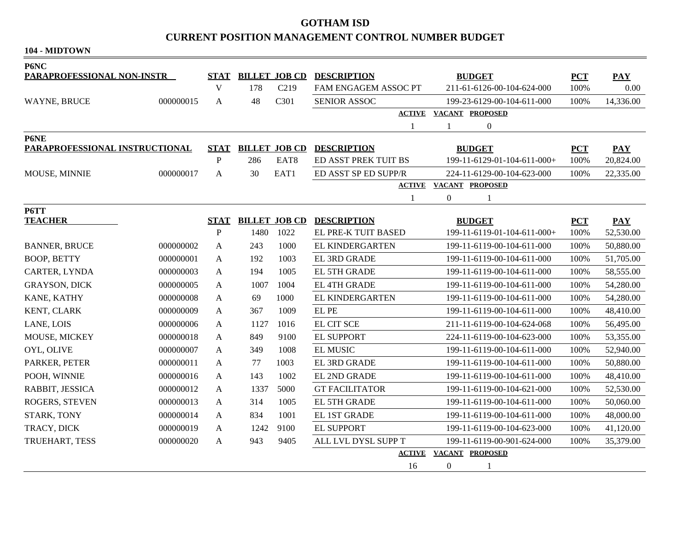## **GOTHAM ISD CURRENT POSITION MANAGEMENT CONTROL NUMBER BUDGET**

**104 - MIDTOWN**

| P6NC                                   |             |                |                      |                      |                                                   |                               |            |            |
|----------------------------------------|-------------|----------------|----------------------|----------------------|---------------------------------------------------|-------------------------------|------------|------------|
| <b>PARAPROFESSIONAL NON-INSTR</b>      | <b>STAT</b> |                | <b>BILLET JOB CD</b> | <b>DESCRIPTION</b>   | <b>BUDGET</b>                                     | <b>PCT</b>                    | <b>PAY</b> |            |
|                                        |             | V              | 178                  | C <sub>219</sub>     | FAM ENGAGEM ASSOC PT                              | 211-61-6126-00-104-624-000    | 100%       | 0.00       |
| WAYNE, BRUCE<br>000000015              |             | A              | 48                   | C301                 | 199-23-6129-00-104-611-000<br><b>SENIOR ASSOC</b> |                               | 100%       | 14,336.00  |
|                                        |             |                |                      |                      | <b>ACTIVE</b>                                     | VACANT PROPOSED               |            |            |
|                                        |             |                |                      |                      | 1                                                 | $\boldsymbol{0}$<br>1         |            |            |
| P6NE<br>PARAPROFESSIONAL INSTRUCTIONAL |             | <b>STAT</b>    |                      | <b>BILLET JOB CD</b> | <b>DESCRIPTION</b>                                | <b>BUDGET</b>                 | <b>PCT</b> | PAY        |
|                                        |             | ${\bf P}$      | 286                  | EAT8                 | ED ASST PREK TUIT BS                              | 199-11-6129-01-104-611-000+   | 100%       | 20,824.00  |
| MOUSE, MINNIE                          | 000000017   | A              | 30                   | EAT1                 | ED ASST SP ED SUPP/R                              | 224-11-6129-00-104-623-000    | 100%       | 22,335.00  |
|                                        |             |                |                      |                      |                                                   | <b>ACTIVE VACANT PROPOSED</b> |            |            |
|                                        |             |                |                      |                      | 1                                                 | $\boldsymbol{0}$<br>-1        |            |            |
| P6TT                                   |             |                |                      |                      |                                                   |                               |            |            |
| <b>TEACHER</b>                         |             | <b>STAT</b>    |                      | <b>BILLET JOB CD</b> | <b>DESCRIPTION</b>                                | <b>BUDGET</b>                 | <b>PCT</b> | <b>PAY</b> |
|                                        |             | $\mathbf P$    | 1480                 | 1022                 | EL PRE-K TUIT BASED                               | 199-11-6119-01-104-611-000+   | 100%       | 52,530.00  |
| <b>BANNER, BRUCE</b>                   | 000000002   | A              | 243                  | 1000                 | EL KINDERGARTEN                                   | 199-11-6119-00-104-611-000    | 100%       | 50,880.00  |
| <b>BOOP, BETTY</b>                     | 000000001   | A              | 192                  | 1003                 | EL 3RD GRADE                                      | 199-11-6119-00-104-611-000    | 100%       | 51,705.00  |
| CARTER, LYNDA                          | 000000003   | A              | 194                  | 1005                 | EL 5TH GRADE                                      | 199-11-6119-00-104-611-000    | 100%       | 58,555.00  |
| <b>GRAYSON, DICK</b>                   | 000000005   | A              | 1007                 | 1004                 | <b>EL 4TH GRADE</b>                               | 199-11-6119-00-104-611-000    | 100%       | 54,280.00  |
| KANE, KATHY<br>000000008               |             | A              | 69                   | 1000                 | EL KINDERGARTEN                                   | 199-11-6119-00-104-611-000    | 100%       | 54,280.00  |
| KENT, CLARK                            | 000000009   | A              | 367                  | 1009                 | EL PE                                             | 199-11-6119-00-104-611-000    | 100%       | 48,410.00  |
| LANE, LOIS                             | 000000006   | $\mathbf{A}$   | 1127                 | 1016                 | <b>EL CIT SCE</b>                                 | 211-11-6119-00-104-624-068    | 100%       | 56,495.00  |
| MOUSE, MICKEY                          | 000000018   | A              | 849                  | 9100                 | <b>EL SUPPORT</b>                                 | 224-11-6119-00-104-623-000    | 100%       | 53,355.00  |
| OYL, OLIVE                             | 000000007   | A              | 349                  | 1008                 | <b>EL MUSIC</b>                                   | 199-11-6119-00-104-611-000    | 100%       | 52,940.00  |
| PARKER, PETER                          | 000000011   | $\overline{A}$ | 77                   | 1003                 | EL 3RD GRADE                                      | 199-11-6119-00-104-611-000    | 100%       | 50,880.00  |
| POOH, WINNIE                           | 000000016   | A              | 143                  | 1002                 | <b>EL 2ND GRADE</b>                               | 199-11-6119-00-104-611-000    | 100%       | 48,410.00  |
| RABBIT, JESSICA                        | 000000012   | A              | 1337                 | 5000                 | <b>GT FACILITATOR</b>                             | 199-11-6119-00-104-621-000    | 100%       | 52,530.00  |
| <b>ROGERS, STEVEN</b>                  | 000000013   | A              | 314                  | 1005                 | EL 5TH GRADE                                      | 199-11-6119-00-104-611-000    | 100%       | 50,060.00  |
| STARK, TONY                            | 000000014   | A              | 834                  | 1001                 | EL 1ST GRADE                                      | 199-11-6119-00-104-611-000    | 100%       | 48,000.00  |
| TRACY, DICK                            | 000000019   | A              | 1242                 | 9100                 | <b>EL SUPPORT</b>                                 | 199-11-6119-00-104-623-000    | 100%       | 41,120.00  |
| TRUEHART, TESS                         | 000000020   | A              | 943                  | 9405                 | ALL LVL DYSL SUPP T                               | 199-11-6119-00-901-624-000    | 100%       | 35,379.00  |
|                                        |             |                |                      | <b>ACTIVE</b>        | <b>VACANT PROPOSED</b>                            |                               |            |            |
|                                        |             |                |                      |                      | 16                                                | $\boldsymbol{0}$<br>1         |            |            |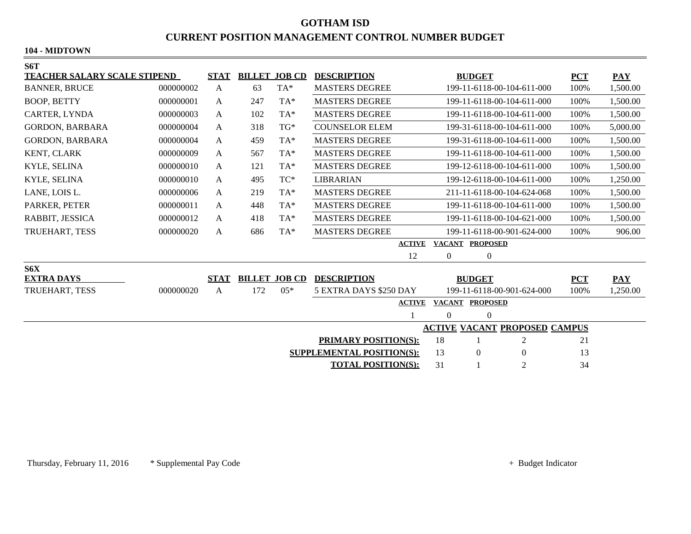# **GOTHAM ISD CURRENT POSITION MANAGEMENT CONTROL NUMBER BUDGET**

### **104 - MIDTOWN**

| S6T                                    |           |              |                      |                               |                                                     |                            |                 |                            |            |            |
|----------------------------------------|-----------|--------------|----------------------|-------------------------------|-----------------------------------------------------|----------------------------|-----------------|----------------------------|------------|------------|
| <b>TEACHER SALARY SCALE STIPEND</b>    |           | <b>STAT</b>  | <b>BILLET JOB CD</b> |                               | <b>DESCRIPTION</b>                                  | <b>BUDGET</b>              |                 |                            | <b>PCT</b> | <b>PAY</b> |
| <b>BANNER, BRUCE</b>                   | 000000002 | $\mathbf{A}$ | 63                   | TA*                           | <b>MASTERS DEGREE</b>                               | 199-11-6118-00-104-611-000 |                 |                            | 100%       | 1,500.00   |
| <b>BOOP, BETTY</b>                     | 000000001 | A            | 247                  | TA*                           | <b>MASTERS DEGREE</b>                               | 199-11-6118-00-104-611-000 |                 |                            | 100%       | 1,500.00   |
| <b>CARTER, LYNDA</b>                   | 000000003 | A            | 102                  | TA*                           | <b>MASTERS DEGREE</b>                               | 199-11-6118-00-104-611-000 |                 |                            | 100%       | 1,500.00   |
| <b>GORDON, BARBARA</b>                 | 000000004 | A            | 318                  | $TG^*$                        | <b>COUNSELOR ELEM</b>                               |                            |                 | 199-31-6118-00-104-611-000 | 100%       | 5,000.00   |
| <b>GORDON, BARBARA</b>                 | 000000004 | A            | 459                  | TA*                           | <b>MASTERS DEGREE</b>                               |                            |                 | 199-31-6118-00-104-611-000 | 100%       | 1,500.00   |
| KENT, CLARK                            | 000000009 | A            | 567                  | TA*                           | <b>MASTERS DEGREE</b>                               |                            |                 | 199-11-6118-00-104-611-000 | 100%       | 1,500.00   |
| KYLE, SELINA                           | 000000010 | A            | 121                  | TA*                           | <b>MASTERS DEGREE</b>                               |                            |                 | 199-12-6118-00-104-611-000 | 100%       | 1,500.00   |
| KYLE, SELINA                           | 000000010 | A            | 495                  | $\protect\operatorname{TC}^*$ | <b>LIBRARIAN</b>                                    |                            |                 | 199-12-6118-00-104-611-000 | 100%       | 1,250.00   |
| LANE, LOIS L.                          | 000000006 | A            | 219                  | TA*                           | <b>MASTERS DEGREE</b>                               |                            |                 | 211-11-6118-00-104-624-068 | 100%       | 1,500.00   |
| PARKER, PETER                          | 000000011 | A            | 448                  | TA*                           | <b>MASTERS DEGREE</b>                               | 199-11-6118-00-104-611-000 |                 | 100%                       | 1,500.00   |            |
| RABBIT, JESSICA                        | 000000012 | A            | 418                  | TA*                           | <b>MASTERS DEGREE</b><br>199-11-6118-00-104-621-000 |                            | 100%            | 1,500.00                   |            |            |
| TRUEHART, TESS                         | 000000020 | A            | 686                  | TA*                           | <b>MASTERS DEGREE</b><br>199-11-6118-00-901-624-000 |                            |                 | 100%                       | 906.00     |            |
|                                        |           |              |                      |                               | <b>ACTIVE</b>                                       |                            |                 |                            |            |            |
|                                        |           |              |                      |                               | 12                                                  | $\overline{0}$             | $\mathbf{0}$    |                            |            |            |
| S6X                                    |           |              |                      |                               |                                                     |                            |                 |                            |            |            |
| <b>EXTRA DAYS</b>                      |           | <b>STAT</b>  |                      | <b>BILLET JOB CD</b>          | <b>DESCRIPTION</b>                                  |                            | <b>BUDGET</b>   |                            | <b>PCT</b> | PAY        |
| TRUEHART, TESS                         | 000000020 | A            | 172                  | $05*$                         | 5 EXTRA DAYS \$250 DAY                              |                            |                 | 199-11-6118-00-901-624-000 | 100%       | 1,250.00   |
|                                        |           |              |                      |                               | <b>ACTIVE</b>                                       | <b>VACANT</b>              | <b>PROPOSED</b> |                            |            |            |
|                                        |           |              |                      |                               |                                                     | $\Omega$                   | $\mathbf{0}$    |                            |            |            |
| <b>ACTIVE VACANT PROPOSED CAMPUS</b>   |           |              |                      |                               |                                                     |                            |                 |                            |            |            |
| 18<br>2<br><b>PRIMARY POSITION(S):</b> |           |              |                      |                               |                                                     |                            |                 | 21                         |            |            |
|                                        |           |              |                      |                               | <b>SUPPLEMENTAL POSITION(S):</b>                    | 13                         | $\mathbf{0}$    | $\boldsymbol{0}$           | 13         |            |
|                                        |           |              |                      |                               | <b>TOTAL POSITION(S):</b>                           | 31                         |                 | $\overline{2}$             | 34         |            |
|                                        |           |              |                      |                               |                                                     |                            |                 |                            |            |            |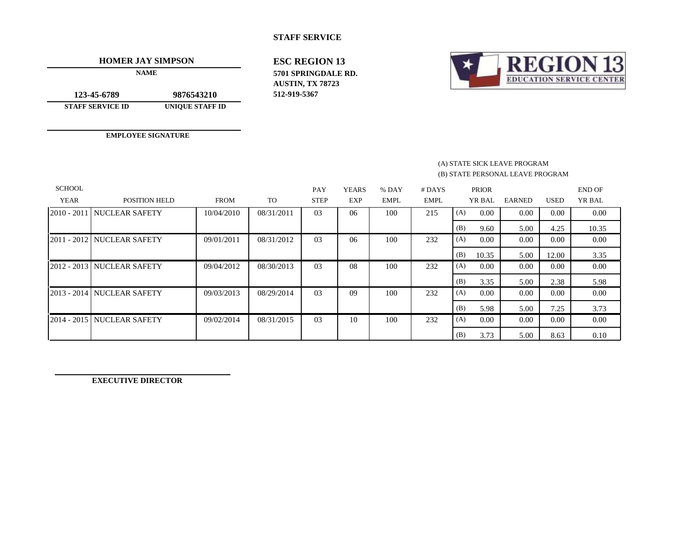### **STAFF SERVICE**

**HOMER JAY SIMPSON**

**NAME**

**123-45-6789 STAFF SERVICE ID 9876543210**

**UNIQUE STAFF ID**

**EMPLOYEE SIGNATURE**

**ESC REGION 13 AUSTIN, TX 78723 512-919-5367 5701 SPRINGDALE RD.**



#### (B) STATE PERSONAL LEAVE PROGRAM (A) STATE SICK LEAVE PROGRAM

| <b>SCHOOL</b><br><b>YEAR</b> | POSITION HELD              | <b>FROM</b> | <b>TO</b>  | PAY<br><b>STEP</b> | <b>YEARS</b><br>EXP | % DAY<br><b>EMPL</b> | $#$ DAYS<br>EMPL |     | <b>PRIOR</b><br>YR BAL | <b>EARNED</b> | <b>USED</b> | <b>END OF</b><br>YR BAL |
|------------------------------|----------------------------|-------------|------------|--------------------|---------------------|----------------------|------------------|-----|------------------------|---------------|-------------|-------------------------|
|                              |                            |             |            |                    |                     |                      |                  |     |                        |               |             |                         |
|                              | 2010 - 2011 NUCLEAR SAFETY | 10/04/2010  | 08/31/2011 | 03                 | 06                  | 100                  | 215              | (A) | 0.00                   | 0.00          | 0.00        | 0.00                    |
|                              |                            |             |            |                    |                     |                      |                  | (B) | 9.60                   | 5.00          | 4.25        | 10.35                   |
|                              | 2011 - 2012 NUCLEAR SAFETY | 09/01/2011  | 08/31/2012 | 0 <sub>3</sub>     | 06                  | 100                  | 232              | (A) | 0.00                   | 0.00          | 0.00        | 0.00                    |
|                              |                            |             |            |                    |                     |                      |                  | (B) | 10.35                  | 5.00          | 12.00       | 3.35                    |
|                              | 2012 - 2013 NUCLEAR SAFETY | 09/04/2012  | 08/30/2013 | 03                 | 08                  | 100                  | 232              | (A) | 0.00                   | 0.00          | 0.00        | 0.00                    |
|                              |                            |             |            |                    |                     |                      |                  | (B) | 3.35                   | 5.00          | 2.38        | 5.98                    |
|                              | 2013 - 2014 NUCLEAR SAFETY | 09/03/2013  | 08/29/2014 | 0 <sub>3</sub>     | 09                  | 100                  | 232              | (A) | 0.00                   | 0.00          | 0.00        | 0.00                    |
|                              |                            |             |            |                    |                     |                      |                  | (B) | 5.98                   | 5.00          | 7.25        | 3.73                    |
|                              | 2014 - 2015 NUCLEAR SAFETY | 09/02/2014  | 08/31/2015 | 0 <sub>3</sub>     | 10                  | 100                  | 232              | (A) | 0.00                   | 0.00          | 0.00        | 0.00                    |
|                              |                            |             |            |                    |                     |                      |                  | (B) | 3.73                   | 5.00          | 8.63        | 0.10                    |

**EXECUTIVE DIRECTOR**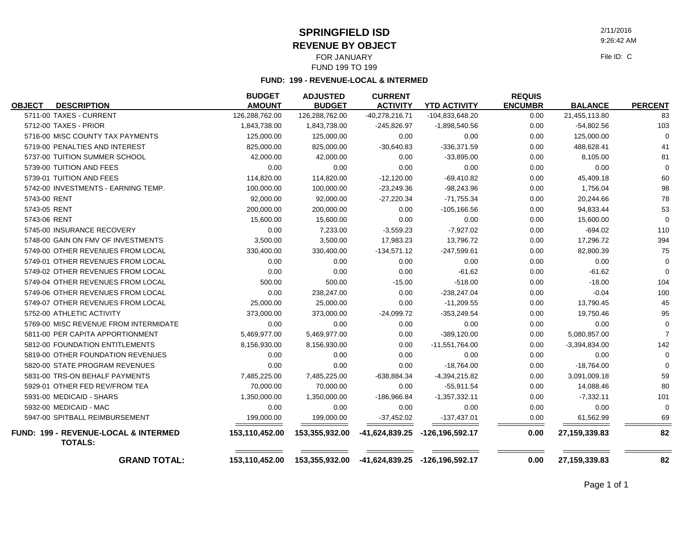**SPRINGFIELD ISD**

**REVENUE BY OBJECT**

FOR JANUARY FUND 199 TO 199

**FUND: 199 - REVENUE-LOCAL & INTERMED**

| <b>OBJECT</b> | <b>DESCRIPTION</b>                                     | <b>BUDGET</b><br><b>AMOUNT</b> | <b>ADJUSTED</b><br><b>BUDGET</b> | <b>CURRENT</b><br><b>ACTIVITY</b> | <b>YTD ACTIVITY</b>            | <b>REQUIS</b><br><b>ENCUMBR</b> | <b>BALANCE</b>  | <b>PERCENT</b> |
|---------------|--------------------------------------------------------|--------------------------------|----------------------------------|-----------------------------------|--------------------------------|---------------------------------|-----------------|----------------|
|               | 5711-00 TAXES - CURRENT                                | 126,288,762.00                 | 126,288,762.00                   | -40,278,216.71                    | -104,833,648.20                | 0.00                            | 21,455,113.80   | 83             |
|               | 5712-00 TAXES - PRIOR                                  | 1,843,738.00                   | 1,843,738.00                     | $-245,826.97$                     | $-1,898,540.56$                | 0.00                            | $-54,802.56$    | 103            |
|               | 5716-00 MISC COUNTY TAX PAYMENTS                       | 125,000.00                     | 125,000.00                       | 0.00                              | 0.00                           | 0.00                            | 125,000.00      | $\mathbf 0$    |
|               | 5719-00 PENALTIES AND INTEREST                         | 825,000.00                     | 825,000.00                       | $-30,640.83$                      | $-336,371.59$                  | 0.00                            | 488,628.41      | 41             |
|               | 5737-00 TUITION SUMMER SCHOOL                          | 42,000.00                      | 42,000.00                        | 0.00                              | $-33,895.00$                   | 0.00                            | 8,105.00        | 81             |
|               | 5739-00 TUITION AND FEES                               | 0.00                           | 0.00                             | 0.00                              | 0.00                           | 0.00                            | 0.00            | $\Omega$       |
|               | 5739-01 TUITION AND FEES                               | 114,820.00                     | 114,820.00                       | $-12,120.00$                      | $-69,410.82$                   | 0.00                            | 45,409.18       | 60             |
|               | 5742-00 INVESTMENTS - EARNING TEMP.                    | 100,000.00                     | 100,000.00                       | $-23,249.36$                      | $-98,243.96$                   | 0.00                            | 1,756.04        | 98             |
| 5743-00 RENT  |                                                        | 92,000.00                      | 92,000.00                        | $-27,220.34$                      | $-71,755.34$                   | 0.00                            | 20,244.66       | 78             |
| 5743-05 RENT  |                                                        | 200,000.00                     | 200,000.00                       | 0.00                              | -105,166.56                    | 0.00                            | 94,833.44       | 53             |
| 5743-06 RENT  |                                                        | 15,600.00                      | 15,600.00                        | 0.00                              | 0.00                           | 0.00                            | 15,600.00       | $\Omega$       |
|               | 5745-00 INSURANCE RECOVERY                             | 0.00                           | 7,233.00                         | $-3,559.23$                       | $-7,927.02$                    | 0.00                            | $-694.02$       | 110            |
|               | 5748-00 GAIN ON FMV OF INVESTMENTS                     | 3,500.00                       | 3,500.00                         | 17,983.23                         | 13,796.72                      | 0.00                            | 17,296.72       | 394            |
|               | 5749-00 OTHER REVENUES FROM LOCAL                      | 330,400.00                     | 330,400.00                       | $-134,571.12$                     | $-247,599.61$                  | 0.00                            | 82,800.39       | 75             |
|               | 5749-01 OTHER REVENUES FROM LOCAL                      | 0.00                           | 0.00                             | 0.00                              | 0.00                           | 0.00                            | 0.00            | $\Omega$       |
|               | 5749-02 OTHER REVENUES FROM LOCAL                      | 0.00                           | 0.00                             | 0.00                              | $-61.62$                       | 0.00                            | $-61.62$        | $\Omega$       |
|               | 5749-04 OTHER REVENUES FROM LOCAL                      | 500.00                         | 500.00                           | $-15.00$                          | $-518.00$                      | 0.00                            | $-18.00$        | 104            |
|               | 5749-06 OTHER REVENUES FROM LOCAL                      | 0.00                           | 238,247.00                       | 0.00                              | $-238,247.04$                  | 0.00                            | $-0.04$         | 100            |
|               | 5749-07 OTHER REVENUES FROM LOCAL                      | 25,000.00                      | 25,000.00                        | 0.00                              | $-11,209.55$                   | 0.00                            | 13,790.45       | 45             |
|               | 5752-00 ATHLETIC ACTIVITY                              | 373,000.00                     | 373,000.00                       | $-24,099.72$                      | $-353,249.54$                  | 0.00                            | 19,750.46       | 95             |
|               | 5769-00 MISC REVENUE FROM INTERMIDATE                  | 0.00                           | 0.00                             | 0.00                              | 0.00                           | 0.00                            | 0.00            | $\Omega$       |
|               | 5811-00 PER CAPITA APPORTIONMENT                       | 5,469,977.00                   | 5,469,977.00                     | 0.00                              | $-389, 120.00$                 | 0.00                            | 5,080,857.00    | $\overline{7}$ |
|               | 5812-00 FOUNDATION ENTITLEMENTS                        | 8,156,930.00                   | 8,156,930.00                     | 0.00                              | $-11,551,764.00$               | 0.00                            | $-3,394,834.00$ | 142            |
|               | 5819-00 OTHER FOUNDATION REVENUES                      | 0.00                           | 0.00                             | 0.00                              | 0.00                           | 0.00                            | 0.00            | $\Omega$       |
|               | 5820-00 STATE PROGRAM REVENUES                         | 0.00                           | 0.00                             | 0.00                              | $-18,764.00$                   | 0.00                            | $-18,764.00$    | $\Omega$       |
|               | 5831-00 TRS-ON BEHALF PAYMENTS                         | 7,485,225.00                   | 7,485,225.00                     | $-638,884.34$                     | $-4,394,215.82$                | 0.00                            | 3,091,009.18    | 59             |
|               | 5929-01 OTHER FED REV/FROM TEA                         | 70,000.00                      | 70,000.00                        | 0.00                              | $-55,911.54$                   | 0.00                            | 14,088.46       | 80             |
|               | 5931-00 MEDICAID - SHARS                               | 1,350,000.00                   | 1,350,000.00                     | -186,966.84                       | $-1,357,332.11$                | 0.00                            | $-7,332.11$     | 101            |
|               | 5932-00 MEDICAID - MAC                                 | 0.00                           | 0.00                             | 0.00                              | 0.00                           | 0.00                            | 0.00            | 0              |
|               | 5947-00 SPITBALL REIMBURSEMENT                         | 199,000.00                     | 199,000.00                       | $-37,452.02$                      | $-137,437.01$                  | 0.00                            | 61,562.99       | 69             |
|               | FUND: 199 - REVENUE-LOCAL & INTERMED<br><b>TOTALS:</b> | 153,110,452.00                 | 153,355,932.00                   | -41,624,839.25                    | -126,196,592.17                | 0.00                            | 27, 159, 339.83 | 82             |
|               | <b>GRAND TOTAL:</b>                                    | 153,110,452.00                 | 153,355,932.00                   |                                   | -41,624,839.25 -126,196,592.17 | 0.00                            | 27, 159, 339.83 | 82             |

2/11/2016 9:26:42 AM

File ID: C